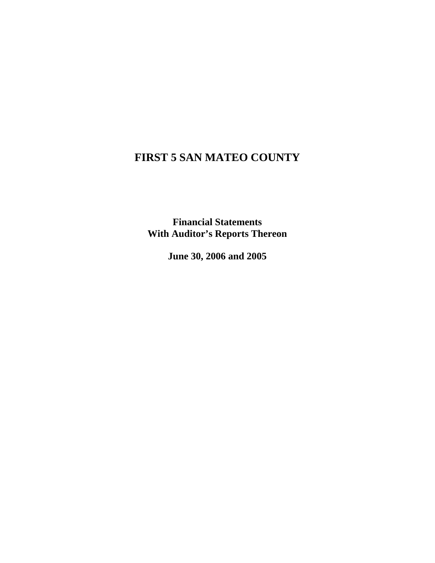# **FIRST 5 SAN MATEO COUNTY**

**Financial Statements With Auditor's Reports Thereon** 

**June 30, 2006 and 2005**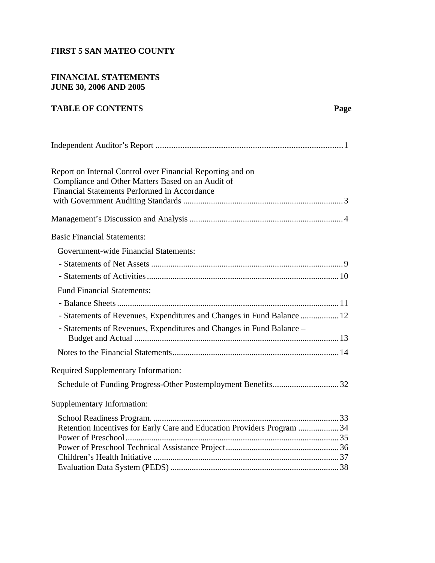# **FIRST 5 SAN MATEO COUNTY**

# **FINANCIAL STATEMENTS JUNE 30, 2006 AND 2005**

# **TABLE OF CONTENTS** Page

| Report on Internal Control over Financial Reporting and on<br>Compliance and Other Matters Based on an Audit of<br>Financial Statements Performed in Accordance |  |
|-----------------------------------------------------------------------------------------------------------------------------------------------------------------|--|
|                                                                                                                                                                 |  |
| <b>Basic Financial Statements:</b>                                                                                                                              |  |
| Government-wide Financial Statements:                                                                                                                           |  |
|                                                                                                                                                                 |  |
|                                                                                                                                                                 |  |
| <b>Fund Financial Statements:</b>                                                                                                                               |  |
|                                                                                                                                                                 |  |
| - Statements of Revenues, Expenditures and Changes in Fund Balance  12                                                                                          |  |
| - Statements of Revenues, Expenditures and Changes in Fund Balance -                                                                                            |  |
|                                                                                                                                                                 |  |
| <b>Required Supplementary Information:</b>                                                                                                                      |  |
| Supplementary Information:                                                                                                                                      |  |
|                                                                                                                                                                 |  |
| Retention Incentives for Early Care and Education Providers Program  34                                                                                         |  |
|                                                                                                                                                                 |  |
|                                                                                                                                                                 |  |
|                                                                                                                                                                 |  |
|                                                                                                                                                                 |  |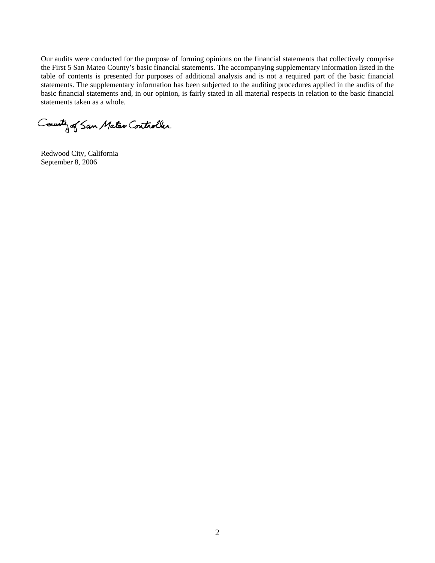Our audits were conducted for the purpose of forming opinions on the financial statements that collectively comprise the First 5 San Mateo County's basic financial statements. The accompanying supplementary information listed in the table of contents is presented for purposes of additional analysis and is not a required part of the basic financial statements. The supplementary information has been subjected to the auditing procedures applied in the audits of the basic financial statements and, in our opinion, is fairly stated in all material respects in relation to the basic financial statements taken as a whole.

County of San Mater Controller

Redwood City, California September 8, 2006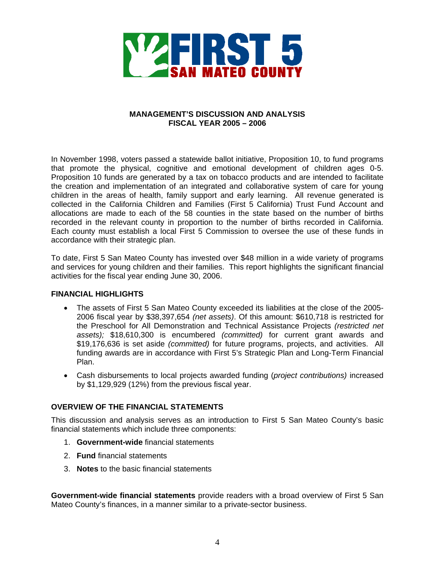

#### **MANAGEMENT'S DISCUSSION AND ANALYSIS FISCAL YEAR 2005 – 2006**

In November 1998, voters passed a statewide ballot initiative, Proposition 10, to fund programs that promote the physical, cognitive and emotional development of children ages 0-5. Proposition 10 funds are generated by a tax on tobacco products and are intended to facilitate the creation and implementation of an integrated and collaborative system of care for young children in the areas of health, family support and early learning. All revenue generated is collected in the California Children and Families (First 5 California) Trust Fund Account and allocations are made to each of the 58 counties in the state based on the number of births recorded in the relevant county in proportion to the number of births recorded in California. Each county must establish a local First 5 Commission to oversee the use of these funds in accordance with their strategic plan.

To date, First 5 San Mateo County has invested over \$48 million in a wide variety of programs and services for young children and their families. This report highlights the significant financial activities for the fiscal year ending June 30, 2006.

#### **FINANCIAL HIGHLIGHTS**

- The assets of First 5 San Mateo County exceeded its liabilities at the close of the 2005- 2006 fiscal year by \$38,397,654 *(net assets)*. Of this amount: \$610,718 is restricted for the Preschool for All Demonstration and Technical Assistance Projects *(restricted net assets);* \$18,610,300 is encumbered *(committed)* for current grant awards and \$19,176,636 is set aside *(committed)* for future programs, projects, and activities. All funding awards are in accordance with First 5's Strategic Plan and Long-Term Financial Plan.
- Cash disbursements to local projects awarded funding (*project contributions)* increased by \$1,129,929 (12%) from the previous fiscal year.

#### **OVERVIEW OF THE FINANCIAL STATEMENTS**

This discussion and analysis serves as an introduction to First 5 San Mateo County's basic financial statements which include three components:

- 1. **Government-wide** financial statements
- 2. **Fund** financial statements
- 3. **Notes** to the basic financial statements

**Government-wide financial statements** provide readers with a broad overview of First 5 San Mateo County's finances, in a manner similar to a private-sector business.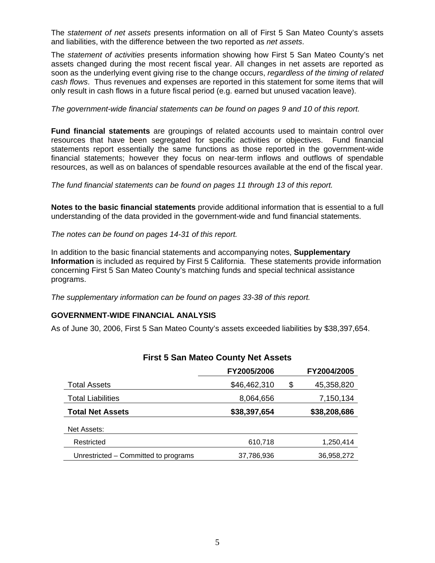The *statement of net assets* presents information on all of First 5 San Mateo County's assets and liabilities, with the difference between the two reported as *net assets*.

The *statement of activities* presents information showing how First 5 San Mateo County's net assets changed during the most recent fiscal year. All changes in net assets are reported as soon as the underlying event giving rise to the change occurs, *regardless of the timing of related cash flows*. Thus revenues and expenses are reported in this statement for some items that will only result in cash flows in a future fiscal period (e.g. earned but unused vacation leave).

#### *The government-wide financial statements can be found on pages 9 and 10 of this report.*

**Fund financial statements** are groupings of related accounts used to maintain control over resources that have been segregated for specific activities or objectives. Fund financial statements report essentially the same functions as those reported in the government-wide financial statements; however they focus on near-term inflows and outflows of spendable resources, as well as on balances of spendable resources available at the end of the fiscal year.

*The fund financial statements can be found on pages 11 through 13 of this report.* 

**Notes to the basic financial statements** provide additional information that is essential to a full understanding of the data provided in the government-wide and fund financial statements.

*The notes can be found on pages 14-31 of this report.* 

In addition to the basic financial statements and accompanying notes, **Supplementary Information** is included as required by First 5 California. These statements provide information concerning First 5 San Mateo County's matching funds and special technical assistance programs.

*The supplementary information can be found on pages 33-38 of this report.* 

#### **GOVERNMENT-WIDE FINANCIAL ANALYSIS**

As of June 30, 2006, First 5 San Mateo County's assets exceeded liabilities by \$38,397,654.

|                                      | FY2005/2006  | FY2004/2005      |
|--------------------------------------|--------------|------------------|
| <b>Total Assets</b>                  | \$46,462,310 | \$<br>45,358,820 |
| <b>Total Liabilities</b>             | 8,064,656    | 7,150,134        |
| <b>Total Net Assets</b>              | \$38,397,654 | \$38,208,686     |
| Net Assets:                          |              |                  |
| Restricted                           | 610,718      | 1,250,414        |
| Unrestricted – Committed to programs | 37,786,936   | 36,958,272       |

#### **First 5 San Mateo County Net Assets**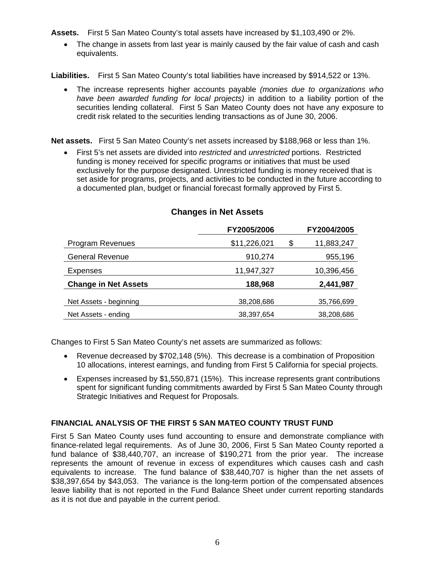**Assets.** First 5 San Mateo County's total assets have increased by \$1,103,490 or 2%.

• The change in assets from last year is mainly caused by the fair value of cash and cash equivalents.

**Liabilities.** First 5 San Mateo County's total liabilities have increased by \$914,522 or 13%.

• The increase represents higher accounts payable *(monies due to organizations who have been awarded funding for local projects)* in addition to a liability portion of the securities lending collateral. First 5 San Mateo County does not have any exposure to credit risk related to the securities lending transactions as of June 30, 2006.

**Net assets.** First 5 San Mateo County's net assets increased by \$188,968 or less than 1%.

• First 5's net assets are divided into *restricted* and *unrestricted* portions. Restricted funding is money received for specific programs or initiatives that must be used exclusively for the purpose designated. Unrestricted funding is money received that is set aside for programs, projects, and activities to be conducted in the future according to a documented plan, budget or financial forecast formally approved by First 5.

|                             | FY2005/2006  | FY2004/2005      |
|-----------------------------|--------------|------------------|
| <b>Program Revenues</b>     | \$11,226,021 | \$<br>11,883,247 |
| <b>General Revenue</b>      | 910,274      | 955,196          |
| Expenses                    | 11,947,327   | 10,396,456       |
| <b>Change in Net Assets</b> | 188,968      | 2,441,987        |
| Net Assets - beginning      | 38,208,686   | 35,766,699       |
| Net Assets - ending         | 38,397,654   | 38,208,686       |

# **Changes in Net Assets**

Changes to First 5 San Mateo County's net assets are summarized as follows:

- Revenue decreased by \$702,148 (5%). This decrease is a combination of Proposition 10 allocations, interest earnings, and funding from First 5 California for special projects.
- Expenses increased by \$1,550,871 (15%). This increase represents grant contributions spent for significant funding commitments awarded by First 5 San Mateo County through Strategic Initiatives and Request for Proposals.

#### **FINANCIAL ANALYSIS OF THE FIRST 5 SAN MATEO COUNTY TRUST FUND**

First 5 San Mateo County uses fund accounting to ensure and demonstrate compliance with finance-related legal requirements. As of June 30, 2006, First 5 San Mateo County reported a fund balance of \$38,440,707, an increase of \$190,271 from the prior year. The increase represents the amount of revenue in excess of expenditures which causes cash and cash equivalents to increase. The fund balance of \$38,440,707 is higher than the net assets of \$38,397,654 by \$43,053. The variance is the long-term portion of the compensated absences leave liability that is not reported in the Fund Balance Sheet under current reporting standards as it is not due and payable in the current period.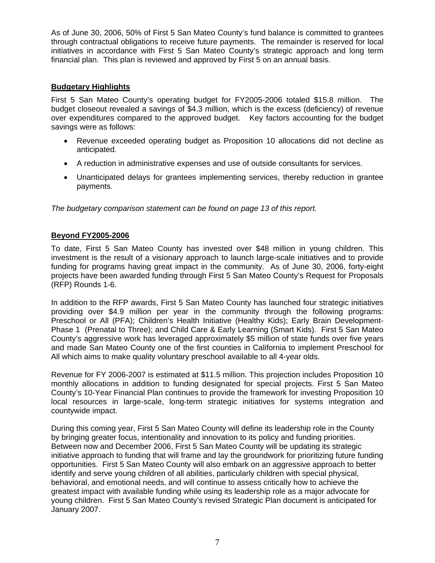As of June 30, 2006, 50% of First 5 San Mateo County's fund balance is committed to grantees through contractual obligations to receive future payments. The remainder is reserved for local initiatives in accordance with First 5 San Mateo County's strategic approach and long term financial plan. This plan is reviewed and approved by First 5 on an annual basis.

### **Budgetary Highlights**

First 5 San Mateo County's operating budget for FY2005-2006 totaled \$15.8 million. The budget closeout revealed a savings of \$4.3 million, which is the excess (deficiency) of revenue over expenditures compared to the approved budget. Key factors accounting for the budget savings were as follows:

- Revenue exceeded operating budget as Proposition 10 allocations did not decline as anticipated.
- A reduction in administrative expenses and use of outside consultants for services.
- Unanticipated delays for grantees implementing services, thereby reduction in grantee payments.

*The budgetary comparison statement can be found on page 13 of this report.* 

### **Beyond FY2005-2006**

To date, First 5 San Mateo County has invested over \$48 million in young children. This investment is the result of a visionary approach to launch large-scale initiatives and to provide funding for programs having great impact in the community. As of June 30, 2006, forty-eight projects have been awarded funding through First 5 San Mateo County's Request for Proposals (RFP) Rounds 1-6.

In addition to the RFP awards, First 5 San Mateo County has launched four strategic initiatives providing over \$4.9 million per year in the community through the following programs: Preschool or All (PFA); Children's Health Initiative (Healthy Kids); Early Brain Development-Phase 1 (Prenatal to Three); and Child Care & Early Learning (Smart Kids). First 5 San Mateo County's aggressive work has leveraged approximately \$5 million of state funds over five years and made San Mateo County one of the first counties in California to implement Preschool for All which aims to make quality voluntary preschool available to all 4-year olds.

Revenue for FY 2006-2007 is estimated at \$11.5 million. This projection includes Proposition 10 monthly allocations in addition to funding designated for special projects. First 5 San Mateo County's 10-Year Financial Plan continues to provide the framework for investing Proposition 10 local resources in large-scale, long-term strategic initiatives for systems integration and countywide impact.

During this coming year, First 5 San Mateo County will define its leadership role in the County by bringing greater focus, intentionality and innovation to its policy and funding priorities. Between now and December 2006, First 5 San Mateo County will be updating its strategic initiative approach to funding that will frame and lay the groundwork for prioritizing future funding opportunities. First 5 San Mateo County will also embark on an aggressive approach to better identify and serve young children of all abilities, particularly children with special physical, behavioral, and emotional needs, and will continue to assess critically how to achieve the greatest impact with available funding while using its leadership role as a major advocate for young children. First 5 San Mateo County's revised Strategic Plan document is anticipated for January 2007.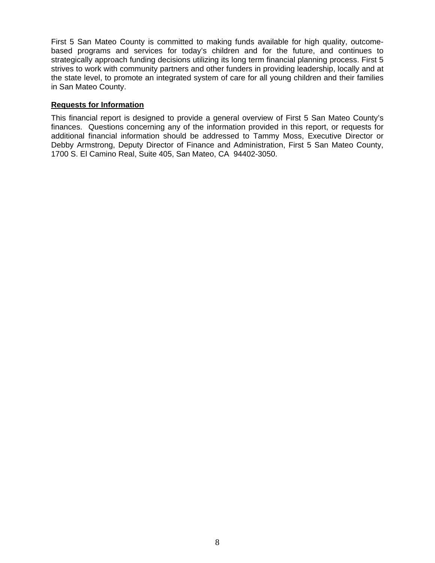First 5 San Mateo County is committed to making funds available for high quality, outcomebased programs and services for today's children and for the future, and continues to strategically approach funding decisions utilizing its long term financial planning process. First 5 strives to work with community partners and other funders in providing leadership, locally and at the state level, to promote an integrated system of care for all young children and their families in San Mateo County.

#### **Requests for Information**

This financial report is designed to provide a general overview of First 5 San Mateo County's finances. Questions concerning any of the information provided in this report, or requests for additional financial information should be addressed to Tammy Moss, Executive Director or Debby Armstrong, Deputy Director of Finance and Administration, First 5 San Mateo County, 1700 S. El Camino Real, Suite 405, San Mateo, CA 94402-3050.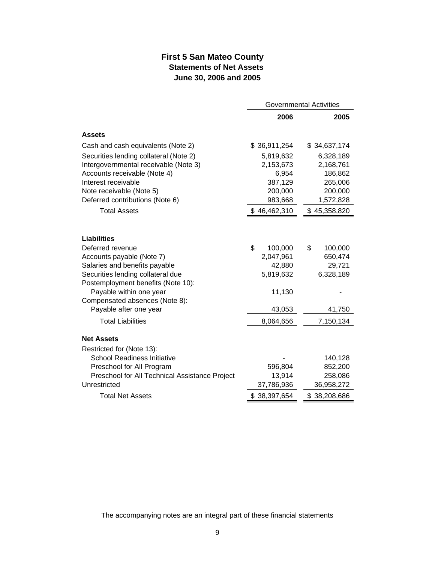# **First 5 San Mateo County Statements of Net Assets June 30, 2006 and 2005**

|                                                | <b>Governmental Activities</b> |               |  |
|------------------------------------------------|--------------------------------|---------------|--|
|                                                | 2006                           | 2005          |  |
| <b>Assets</b>                                  |                                |               |  |
| Cash and cash equivalents (Note 2)             | \$36,911,254                   | \$34,637,174  |  |
| Securities lending collateral (Note 2)         | 5,819,632                      | 6,328,189     |  |
| Intergovernmental receivable (Note 3)          | 2,153,673                      | 2,168,761     |  |
| Accounts receivable (Note 4)                   | 6,954                          | 186,862       |  |
| Interest receivable                            | 387,129                        | 265,006       |  |
| Note receivable (Note 5)                       | 200,000                        | 200,000       |  |
| Deferred contributions (Note 6)                | 983,668                        | 1,572,828     |  |
| <b>Total Assets</b>                            | \$46,462,310                   | \$45,358,820  |  |
| Liabilities<br>Deferred revenue                | \$<br>100,000                  | \$<br>100,000 |  |
| Accounts payable (Note 7)                      | 2,047,961                      | 650,474       |  |
| Salaries and benefits payable                  | 42,880                         | 29,721        |  |
| Securities lending collateral due              | 5,819,632                      | 6,328,189     |  |
| Postemployment benefits (Note 10):             |                                |               |  |
| Payable within one year                        | 11,130                         |               |  |
| Compensated absences (Note 8):                 |                                |               |  |
| Payable after one year                         | 43,053                         | 41,750        |  |
| <b>Total Liabilities</b>                       | 8,064,656                      | 7,150,134     |  |
| <b>Net Assets</b>                              |                                |               |  |
| Restricted for (Note 13):                      |                                |               |  |
| <b>School Readiness Initiative</b>             |                                | 140,128       |  |
| Preschool for All Program                      | 596,804                        | 852,200       |  |
| Preschool for All Technical Assistance Project | 13,914                         | 258,086       |  |
| Unrestricted                                   | 37,786,936                     | 36,958,272    |  |
| <b>Total Net Assets</b>                        | \$38,397,654                   | \$38,208,686  |  |

The accompanying notes are an integral part of these financial statements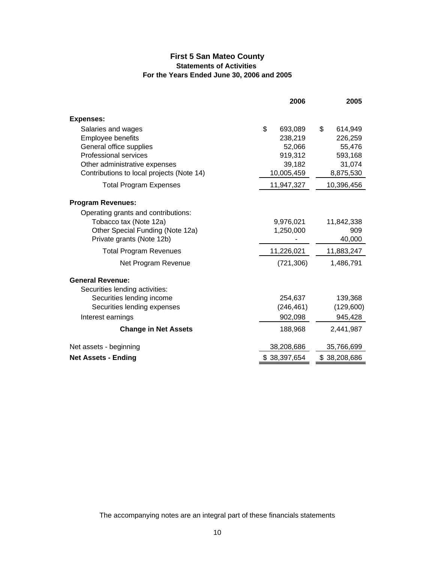#### **First 5 San Mateo County Statements of Activities For the Years Ended June 30, 2006 and 2005**

|                                           | 2006          | 2005          |
|-------------------------------------------|---------------|---------------|
| <b>Expenses:</b>                          |               |               |
| Salaries and wages                        | \$<br>693,089 | \$<br>614,949 |
| Employee benefits                         | 238,219       | 226,259       |
| General office supplies                   | 52,066        | 55,476        |
| <b>Professional services</b>              | 919,312       | 593,168       |
| Other administrative expenses             | 39,182        | 31,074        |
| Contributions to local projects (Note 14) | 10,005,459    | 8,875,530     |
| <b>Total Program Expenses</b>             | 11,947,327    | 10,396,456    |
| <b>Program Revenues:</b>                  |               |               |
| Operating grants and contributions:       |               |               |
| Tobacco tax (Note 12a)                    | 9,976,021     | 11,842,338    |
| Other Special Funding (Note 12a)          | 1,250,000     | 909           |
| Private grants (Note 12b)                 |               | 40,000        |
| <b>Total Program Revenues</b>             | 11,226,021    | 11,883,247    |
| Net Program Revenue                       | (721, 306)    | 1,486,791     |
| <b>General Revenue:</b>                   |               |               |
| Securities lending activities:            |               |               |
| Securities lending income                 | 254,637       | 139,368       |
| Securities lending expenses               | (246, 461)    | (129,600)     |
| Interest earnings                         | 902,098       | 945,428       |
| <b>Change in Net Assets</b>               | 188,968       | 2,441,987     |
| Net assets - beginning                    | 38,208,686    | 35,766,699    |
| <b>Net Assets - Ending</b>                | \$38,397,654  | \$38,208,686  |

The accompanying notes are an integral part of these financials statements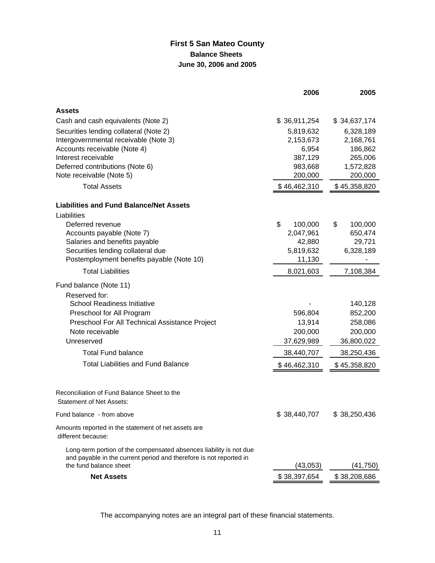# **First 5 San Mateo County Balance Sheets June 30, 2006 and 2005**

|                                                                                              | 2006          | 2005          |
|----------------------------------------------------------------------------------------------|---------------|---------------|
| <b>Assets</b>                                                                                |               |               |
| Cash and cash equivalents (Note 2)                                                           | \$36,911,254  | \$34,637,174  |
| Securities lending collateral (Note 2)                                                       | 5,819,632     | 6,328,189     |
| Intergovernmental receivable (Note 3)                                                        | 2,153,673     | 2,168,761     |
| Accounts receivable (Note 4)                                                                 | 6,954         | 186,862       |
| Interest receivable                                                                          | 387,129       | 265,006       |
| Deferred contributions (Note 6)                                                              | 983,668       | 1,572,828     |
| Note receivable (Note 5)                                                                     | 200,000       | 200,000       |
| <b>Total Assets</b>                                                                          | \$46,462,310  | \$45,358,820  |
| <b>Liabilities and Fund Balance/Net Assets</b>                                               |               |               |
| Liabilities                                                                                  |               |               |
| Deferred revenue                                                                             | \$<br>100,000 | \$<br>100,000 |
| Accounts payable (Note 7)                                                                    | 2,047,961     | 650,474       |
| Salaries and benefits payable                                                                | 42,880        | 29,721        |
| Securities lending collateral due                                                            | 5,819,632     | 6,328,189     |
| Postemployment benefits payable (Note 10)                                                    | 11,130        |               |
| <b>Total Liabilities</b>                                                                     | 8,021,603     | 7,108,384     |
| Fund balance (Note 11)                                                                       |               |               |
| Reserved for:                                                                                |               |               |
| <b>School Readiness Initiative</b>                                                           |               | 140,128       |
| Preschool for All Program                                                                    | 596,804       | 852,200       |
| Preschool For All Technical Assistance Project                                               | 13,914        | 258,086       |
| Note receivable<br>Unreserved                                                                | 200,000       | 200,000       |
| <b>Total Fund balance</b>                                                                    | 37,629,989    | 36,800,022    |
| <b>Total Liabilities and Fund Balance</b>                                                    | 38,440,707    | 38,250,436    |
|                                                                                              | \$46,462,310  | \$45,358,820  |
|                                                                                              |               |               |
| Reconciliation of Fund Balance Sheet to the<br>Statement of Net Assets:                      |               |               |
|                                                                                              |               |               |
| Fund balance - from above                                                                    | \$38,440,707  | \$38,250,436  |
| Amounts reported in the statement of net assets are<br>different because:                    |               |               |
| Long-term portion of the compensated absences liability is not due                           |               |               |
| and payable in the current period and therefore is not reported in<br>the fund balance sheet | (43, 053)     | (41, 750)     |
| <b>Net Assets</b>                                                                            | \$38,397,654  | \$38,208,686  |

The accompanying notes are an integral part of these financial statements.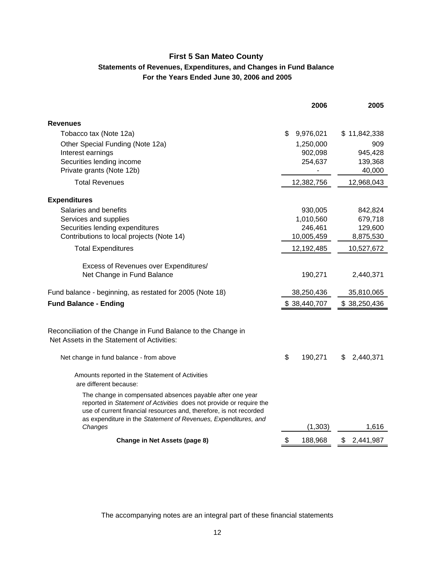# **First 5 San Mateo County**

# **Statements of Revenues, Expenditures, and Changes in Fund Balance For the Years Ended June 30, 2006 and 2005**

|                                                                                                                                                                                                                                                                                     | 2006            | 2005             |
|-------------------------------------------------------------------------------------------------------------------------------------------------------------------------------------------------------------------------------------------------------------------------------------|-----------------|------------------|
| <b>Revenues</b>                                                                                                                                                                                                                                                                     |                 |                  |
| Tobacco tax (Note 12a)                                                                                                                                                                                                                                                              | \$<br>9,976,021 | \$11,842,338     |
| Other Special Funding (Note 12a)                                                                                                                                                                                                                                                    | 1,250,000       | 909              |
| Interest earnings                                                                                                                                                                                                                                                                   | 902,098         | 945,428          |
| Securities lending income                                                                                                                                                                                                                                                           | 254,637         | 139,368          |
| Private grants (Note 12b)                                                                                                                                                                                                                                                           |                 | 40,000           |
| <b>Total Revenues</b>                                                                                                                                                                                                                                                               | 12,382,756      | 12,968,043       |
| <b>Expenditures</b>                                                                                                                                                                                                                                                                 |                 |                  |
| Salaries and benefits                                                                                                                                                                                                                                                               | 930,005         | 842,824          |
| Services and supplies                                                                                                                                                                                                                                                               | 1,010,560       | 679,718          |
| Securities lending expenditures                                                                                                                                                                                                                                                     | 246,461         | 129,600          |
| Contributions to local projects (Note 14)                                                                                                                                                                                                                                           | 10,005,459      | 8,875,530        |
| <b>Total Expenditures</b>                                                                                                                                                                                                                                                           | 12,192,485      | 10,527,672       |
| Excess of Revenues over Expenditures/                                                                                                                                                                                                                                               |                 |                  |
| Net Change in Fund Balance                                                                                                                                                                                                                                                          | 190,271         | 2,440,371        |
|                                                                                                                                                                                                                                                                                     |                 |                  |
| Fund balance - beginning, as restated for 2005 (Note 18)                                                                                                                                                                                                                            | 38,250,436      | 35,810,065       |
| <b>Fund Balance - Ending</b>                                                                                                                                                                                                                                                        | \$38,440,707    | \$38,250,436     |
| Reconciliation of the Change in Fund Balance to the Change in<br>Net Assets in the Statement of Activities:                                                                                                                                                                         |                 |                  |
| Net change in fund balance - from above                                                                                                                                                                                                                                             | \$<br>190,271   | 2,440,371<br>\$. |
| Amounts reported in the Statement of Activities<br>are different because:                                                                                                                                                                                                           |                 |                  |
| The change in compensated absences payable after one year<br>reported in Statement of Activities does not provide or require the<br>use of current financial resources and, therefore, is not recorded<br>as expenditure in the Statement of Revenues, Expenditures, and<br>Changes | (1,303)         | 1,616            |
|                                                                                                                                                                                                                                                                                     |                 |                  |
| Change in Net Assets (page 8)                                                                                                                                                                                                                                                       | \$<br>188,968   | \$<br>2,441,987  |

The accompanying notes are an integral part of these financial statements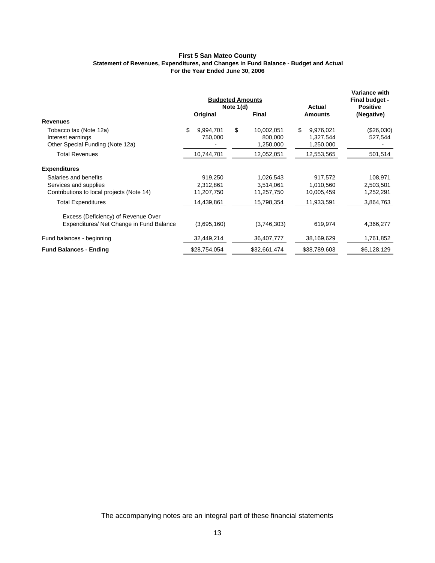#### **First 5 San Mateo County Statement of Revenues, Expenditures, and Changes in Fund Balance - Budget and Actual For the Year Ended June 30, 2006**

|                                           | <b>Budgeted Amounts</b><br>Note $1(d)$ |                  | <b>Actual</b>  | <b>Variance with</b><br>Final budget -<br><b>Positive</b> |  |
|-------------------------------------------|----------------------------------------|------------------|----------------|-----------------------------------------------------------|--|
|                                           | Original                               | <b>Final</b>     | Amounts        | (Negative)                                                |  |
| <b>Revenues</b>                           |                                        |                  |                |                                                           |  |
| Tobacco tax (Note 12a)                    | \$<br>9,994,701                        | \$<br>10,002,051 | 9,976,021<br>S | (\$26,030)                                                |  |
| Interest earnings                         | 750,000                                | 800,000          | 1,327,544      | 527,544                                                   |  |
| Other Special Funding (Note 12a)          |                                        | 1,250,000        | 1,250,000      |                                                           |  |
| <b>Total Revenues</b>                     | 10,744,701                             | 12,052,051       | 12,553,565     | 501,514                                                   |  |
| <b>Expenditures</b>                       |                                        |                  |                |                                                           |  |
| Salaries and benefits                     | 919,250                                | 1,026,543        | 917,572        | 108,971                                                   |  |
| Services and supplies                     | 2,312,861                              | 3,514,061        | 1,010,560      | 2,503,501                                                 |  |
| Contributions to local projects (Note 14) | 11,207,750                             | 11,257,750       | 10,005,459     | 1,252,291                                                 |  |
| <b>Total Expenditures</b>                 | 14,439,861                             | 15,798,354       | 11,933,591     | 3,864,763                                                 |  |
| Excess (Deficiency) of Revenue Over       |                                        |                  |                |                                                           |  |
| Expenditures/ Net Change in Fund Balance  | (3,695,160)                            | (3,746,303)      | 619,974        | 4,366,277                                                 |  |
| Fund balances - beginning                 | 32,449,214                             | 36,407,777       | 38,169,629     | 1,761,852                                                 |  |
| <b>Fund Balances - Ending</b>             | \$28,754,054                           | \$32,661,474     | \$38,789,603   | \$6,128,129                                               |  |

The accompanying notes are an integral part of these financial statements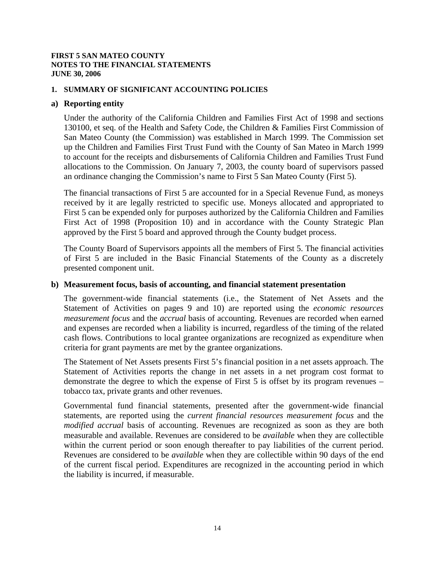#### **1. SUMMARY OF SIGNIFICANT ACCOUNTING POLICIES**

#### **a) Reporting entity**

Under the authority of the California Children and Families First Act of 1998 and sections 130100, et seq. of the Health and Safety Code, the Children & Families First Commission of San Mateo County (the Commission) was established in March 1999. The Commission set up the Children and Families First Trust Fund with the County of San Mateo in March 1999 to account for the receipts and disbursements of California Children and Families Trust Fund allocations to the Commission. On January 7, 2003, the county board of supervisors passed an ordinance changing the Commission's name to First 5 San Mateo County (First 5).

The financial transactions of First 5 are accounted for in a Special Revenue Fund, as moneys received by it are legally restricted to specific use. Moneys allocated and appropriated to First 5 can be expended only for purposes authorized by the California Children and Families First Act of 1998 (Proposition 10) and in accordance with the County Strategic Plan approved by the First 5 board and approved through the County budget process.

The County Board of Supervisors appoints all the members of First 5. The financial activities of First 5 are included in the Basic Financial Statements of the County as a discretely presented component unit.

#### **b) Measurement focus, basis of accounting, and financial statement presentation**

The government-wide financial statements (i.e., the Statement of Net Assets and the Statement of Activities on pages 9 and 10) are reported using the *economic resources measurement focus* and the *accrual* basis of accounting. Revenues are recorded when earned and expenses are recorded when a liability is incurred, regardless of the timing of the related cash flows. Contributions to local grantee organizations are recognized as expenditure when criteria for grant payments are met by the grantee organizations.

The Statement of Net Assets presents First 5's financial position in a net assets approach. The Statement of Activities reports the change in net assets in a net program cost format to demonstrate the degree to which the expense of First 5 is offset by its program revenues – tobacco tax, private grants and other revenues.

Governmental fund financial statements, presented after the government-wide financial statements, are reported using the *current financial resources measurement focus* and the *modified accrual* basis of accounting. Revenues are recognized as soon as they are both measurable and available. Revenues are considered to be *available* when they are collectible within the current period or soon enough thereafter to pay liabilities of the current period. Revenues are considered to be *available* when they are collectible within 90 days of the end of the current fiscal period. Expenditures are recognized in the accounting period in which the liability is incurred, if measurable.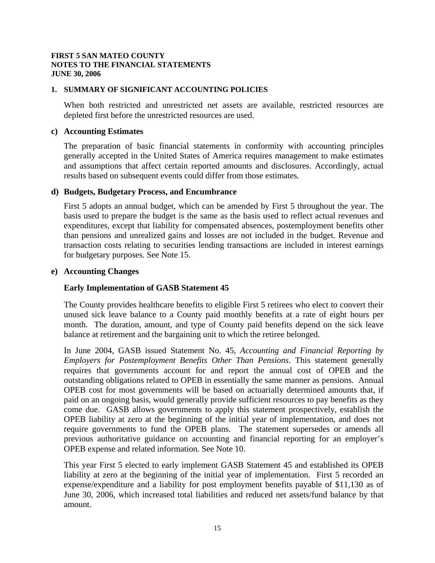#### **1. SUMMARY OF SIGNIFICANT ACCOUNTING POLICIES**

When both restricted and unrestricted net assets are available, restricted resources are depleted first before the unrestricted resources are used.

#### **c) Accounting Estimates**

The preparation of basic financial statements in conformity with accounting principles generally accepted in the United States of America requires management to make estimates and assumptions that affect certain reported amounts and disclosures. Accordingly, actual results based on subsequent events could differ from those estimates.

#### **d) Budgets, Budgetary Process, and Encumbrance**

First 5 adopts an annual budget, which can be amended by First 5 throughout the year. The basis used to prepare the budget is the same as the basis used to reflect actual revenues and expenditures, except that liability for compensated absences, postemployment benefits other than pensions and unrealized gains and losses are not included in the budget. Revenue and transaction costs relating to securities lending transactions are included in interest earnings for budgetary purposes. See Note 15.

#### **e) Accounting Changes**

#### **Early Implementation of GASB Statement 45**

The County provides healthcare benefits to eligible First 5 retirees who elect to convert their unused sick leave balance to a County paid monthly benefits at a rate of eight hours per month. The duration, amount, and type of County paid benefits depend on the sick leave balance at retirement and the bargaining unit to which the retiree belonged.

In June 2004, GASB issued Statement No. 45*, Accounting and Financial Reporting by Employers for Postemployment Benefits Other Than Pensions*. This statement generally requires that governments account for and report the annual cost of OPEB and the outstanding obligations related to OPEB in essentially the same manner as pensions. Annual OPEB cost for most governments will be based on actuarially determined amounts that, if paid on an ongoing basis, would generally provide sufficient resources to pay benefits as they come due. GASB allows governments to apply this statement prospectively, establish the OPEB liability at zero at the beginning of the initial year of implementation, and does not require governments to fund the OPEB plans. The statement supersedes or amends all previous authoritative guidance on accounting and financial reporting for an employer's OPEB expense and related information. See Note 10.

This year First 5 elected to early implement GASB Statement 45 and established its OPEB liability at zero at the beginning of the initial year of implementation. First 5 recorded an expense/expenditure and a liability for post employment benefits payable of \$11,130 as of June 30, 2006, which increased total liabilities and reduced net assets/fund balance by that amount.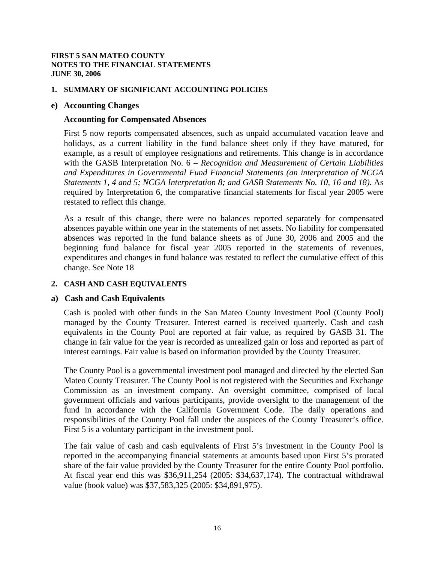#### **1. SUMMARY OF SIGNIFICANT ACCOUNTING POLICIES**

#### **e) Accounting Changes**

#### **Accounting for Compensated Absences**

First 5 now reports compensated absences, such as unpaid accumulated vacation leave and holidays, as a current liability in the fund balance sheet only if they have matured, for example, as a result of employee resignations and retirements. This change is in accordance with the GASB Interpretation No. 6 – *Recognition and Measurement of Certain Liabilities and Expenditures in Governmental Fund Financial Statements (an interpretation of NCGA Statements 1, 4 and 5; NCGA Interpretation 8; and GASB Statements No. 10, 16 and 18).* As required by Interpretation 6, the comparative financial statements for fiscal year 2005 were restated to reflect this change.

As a result of this change, there were no balances reported separately for compensated absences payable within one year in the statements of net assets. No liability for compensated absences was reported in the fund balance sheets as of June 30, 2006 and 2005 and the beginning fund balance for fiscal year 2005 reported in the statements of revenues, expenditures and changes in fund balance was restated to reflect the cumulative effect of this change. See Note 18

#### **2. CASH AND CASH EQUIVALENTS**

#### **a) Cash and Cash Equivalents**

Cash is pooled with other funds in the San Mateo County Investment Pool (County Pool) managed by the County Treasurer. Interest earned is received quarterly. Cash and cash equivalents in the County Pool are reported at fair value, as required by GASB 31. The change in fair value for the year is recorded as unrealized gain or loss and reported as part of interest earnings. Fair value is based on information provided by the County Treasurer.

The County Pool is a governmental investment pool managed and directed by the elected San Mateo County Treasurer. The County Pool is not registered with the Securities and Exchange Commission as an investment company. An oversight committee, comprised of local government officials and various participants, provide oversight to the management of the fund in accordance with the California Government Code. The daily operations and responsibilities of the County Pool fall under the auspices of the County Treasurer's office. First 5 is a voluntary participant in the investment pool.

The fair value of cash and cash equivalents of First 5's investment in the County Pool is reported in the accompanying financial statements at amounts based upon First 5's prorated share of the fair value provided by the County Treasurer for the entire County Pool portfolio. At fiscal year end this was \$36,911,254 (2005: \$34,637,174). The contractual withdrawal value (book value) was \$37,583,325 (2005: \$34,891,975).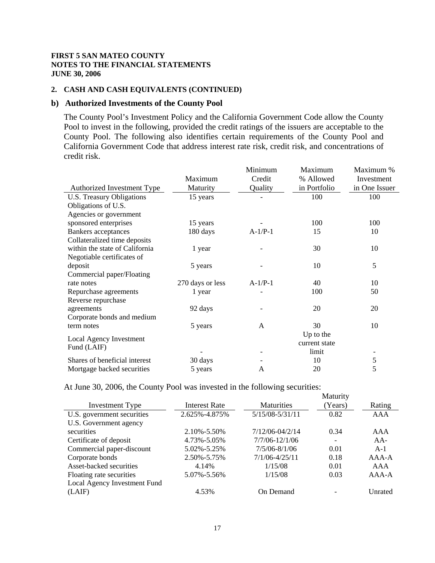#### **2. CASH AND CASH EQUIVALENTS (CONTINUED)**

#### **b) Authorized Investments of the County Pool**

The County Pool's Investment Policy and the California Government Code allow the County Pool to invest in the following, provided the credit ratings of the issuers are acceptable to the County Pool. The following also identifies certain requirements of the County Pool and California Government Code that address interest rate risk, credit risk, and concentrations of credit risk.

|                                |                  | Minimum   | Maximum       | Maximum %     |
|--------------------------------|------------------|-----------|---------------|---------------|
|                                | Maximum          | Credit    | % Allowed     | Investment    |
| Authorized Investment Type     | Maturity         | Quality   | in Portfolio  | in One Issuer |
| U.S. Treasury Obligations      | 15 years         |           | 100           | 100           |
| Obligations of U.S.            |                  |           |               |               |
| Agencies or government         |                  |           |               |               |
| sponsored enterprises          | 15 years         |           | 100           | 100           |
| <b>Bankers</b> acceptances     | 180 days         | $A-1/P-1$ | 15            | 10            |
| Collateralized time deposits   |                  |           |               |               |
| within the state of California | 1 year           |           | 30            | 10            |
| Negotiable certificates of     |                  |           |               |               |
| deposit                        | 5 years          |           | 10            | 5             |
| Commercial paper/Floating      |                  |           |               |               |
| rate notes                     | 270 days or less | $A-1/P-1$ | 40            | 10            |
| Repurchase agreements          | 1 year           |           | 100           | 50            |
| Reverse repurchase             |                  |           |               |               |
| agreements                     | 92 days          |           | 20            | 20            |
| Corporate bonds and medium     |                  |           |               |               |
| term notes                     | 5 years          | A         | 30            | 10            |
| Local Agency Investment        |                  |           | Up to the     |               |
| Fund (LAIF)                    |                  |           | current state |               |
|                                |                  |           | limit         |               |
| Shares of beneficial interest  | 30 days          |           | 10            | 5             |
| Mortgage backed securities     | 5 years          | A         | 20            | 5             |

At June 30, 2006, the County Pool was invested in the following securities:

|                              |                      |                     | Maturity                 |         |
|------------------------------|----------------------|---------------------|--------------------------|---------|
| Investment Type              | <b>Interest Rate</b> | <b>Maturities</b>   | (Years)                  | Rating  |
| U.S. government securities   | 2.625%-4.875%        | $5/15/08 - 5/31/11$ | 0.82                     | AAA     |
| U.S. Government agency       |                      |                     |                          |         |
| securities                   | 2.10%-5.50%          | 7/12/06-04/2/14     | 0.34                     | AAA     |
| Certificate of deposit       | 4.73%-5.05%          | $7/7/06 - 12/1/06$  | $\overline{\phantom{a}}$ | $AA-$   |
| Commercial paper-discount    | 5.02%-5.25%          | $7/5/06 - 8/1/06$   | 0.01                     | $A-1$   |
| Corporate bonds              | 2.50%-5.75%          | $7/1/06 - 4/25/11$  | 0.18                     | $AAA-A$ |
| Asset-backed securities      | 4.14%                | 1/15/08             | 0.01                     | AAA     |
| Floating rate securities     | 5.07%-5.56%          | 1/15/08             | 0.03                     | $AAA-A$ |
| Local Agency Investment Fund |                      |                     |                          |         |
| (LAIF)                       | 4.53%                | On Demand           |                          | Unrated |
|                              |                      |                     |                          |         |

 $\mathbf{M}$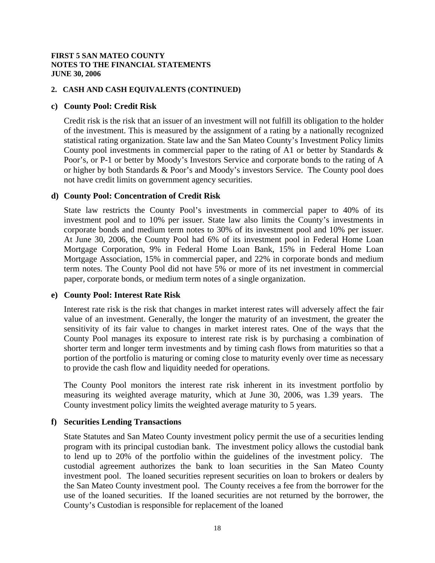#### **2. CASH AND CASH EQUIVALENTS (CONTINUED)**

#### **c) County Pool: Credit Risk**

Credit risk is the risk that an issuer of an investment will not fulfill its obligation to the holder of the investment. This is measured by the assignment of a rating by a nationally recognized statistical rating organization. State law and the San Mateo County's Investment Policy limits County pool investments in commercial paper to the rating of A1 or better by Standards  $\&$ Poor's, or P-1 or better by Moody's Investors Service and corporate bonds to the rating of A or higher by both Standards & Poor's and Moody's investors Service. The County pool does not have credit limits on government agency securities.

#### **d) County Pool: Concentration of Credit Risk**

State law restricts the County Pool's investments in commercial paper to 40% of its investment pool and to 10% per issuer. State law also limits the County's investments in corporate bonds and medium term notes to 30% of its investment pool and 10% per issuer. At June 30, 2006, the County Pool had 6% of its investment pool in Federal Home Loan Mortgage Corporation, 9% in Federal Home Loan Bank, 15% in Federal Home Loan Mortgage Association, 15% in commercial paper, and 22% in corporate bonds and medium term notes. The County Pool did not have 5% or more of its net investment in commercial paper, corporate bonds, or medium term notes of a single organization.

#### **e) County Pool: Interest Rate Risk**

Interest rate risk is the risk that changes in market interest rates will adversely affect the fair value of an investment. Generally, the longer the maturity of an investment, the greater the sensitivity of its fair value to changes in market interest rates. One of the ways that the County Pool manages its exposure to interest rate risk is by purchasing a combination of shorter term and longer term investments and by timing cash flows from maturities so that a portion of the portfolio is maturing or coming close to maturity evenly over time as necessary to provide the cash flow and liquidity needed for operations.

The County Pool monitors the interest rate risk inherent in its investment portfolio by measuring its weighted average maturity, which at June 30, 2006, was 1.39 years. The County investment policy limits the weighted average maturity to 5 years.

#### **f) Securities Lending Transactions**

State Statutes and San Mateo County investment policy permit the use of a securities lending program with its principal custodian bank. The investment policy allows the custodial bank to lend up to 20% of the portfolio within the guidelines of the investment policy. The custodial agreement authorizes the bank to loan securities in the San Mateo County investment pool. The loaned securities represent securities on loan to brokers or dealers by the San Mateo County investment pool. The County receives a fee from the borrower for the use of the loaned securities. If the loaned securities are not returned by the borrower, the County's Custodian is responsible for replacement of the loaned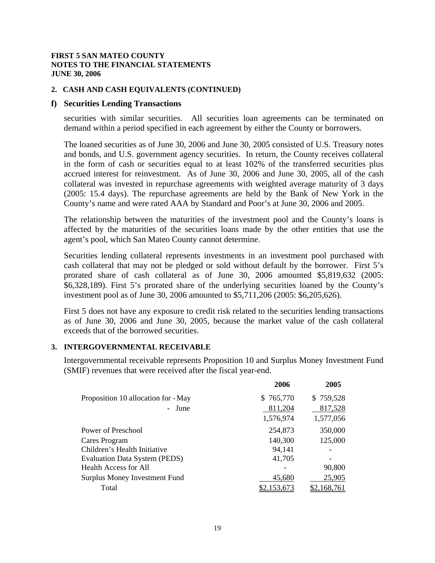#### **2. CASH AND CASH EQUIVALENTS (CONTINUED)**

#### **f) Securities Lending Transactions**

securities with similar securities. All securities loan agreements can be terminated on demand within a period specified in each agreement by either the County or borrowers.

The loaned securities as of June 30, 2006 and June 30, 2005 consisted of U.S. Treasury notes and bonds, and U.S. government agency securities. In return, the County receives collateral in the form of cash or securities equal to at least 102% of the transferred securities plus accrued interest for reinvestment. As of June 30, 2006 and June 30, 2005, all of the cash collateral was invested in repurchase agreements with weighted average maturity of 3 days (2005: 15.4 days). The repurchase agreements are held by the Bank of New York in the County's name and were rated AAA by Standard and Poor's at June 30, 2006 and 2005.

The relationship between the maturities of the investment pool and the County's loans is affected by the maturities of the securities loans made by the other entities that use the agent's pool, which San Mateo County cannot determine.

Securities lending collateral represents investments in an investment pool purchased with cash collateral that may not be pledged or sold without default by the borrower. First 5's prorated share of cash collateral as of June 30, 2006 amounted \$5,819,632 (2005: \$6,328,189). First 5's prorated share of the underlying securities loaned by the County's investment pool as of June 30, 2006 amounted to \$5,711,206 (2005: \$6,205,626).

First 5 does not have any exposure to credit risk related to the securities lending transactions as of June 30, 2006 and June 30, 2005, because the market value of the cash collateral exceeds that of the borrowed securities.

#### **3. INTERGOVERNMENTAL RECEIVABLE**

 Intergovernmental receivable represents Proposition 10 and Surplus Money Investment Fund (SMIF) revenues that were received after the fiscal year-end.

|                                     | 2006      | 2005      |
|-------------------------------------|-----------|-----------|
| Proposition 10 allocation for - May | \$765,770 | \$759,528 |
| - June                              | 811,204   | 817,528   |
|                                     | 1,576,974 | 1,577,056 |
| Power of Preschool                  | 254,873   | 350,000   |
| Cares Program                       | 140,300   | 125,000   |
| Children's Health Initiative        | 94,141    |           |
| Evaluation Data System (PEDS)       | 41,705    |           |
| <b>Health Access for All</b>        |           | 90,800    |
| Surplus Money Investment Fund       | 45,680    | 25,905    |
| Total                               |           |           |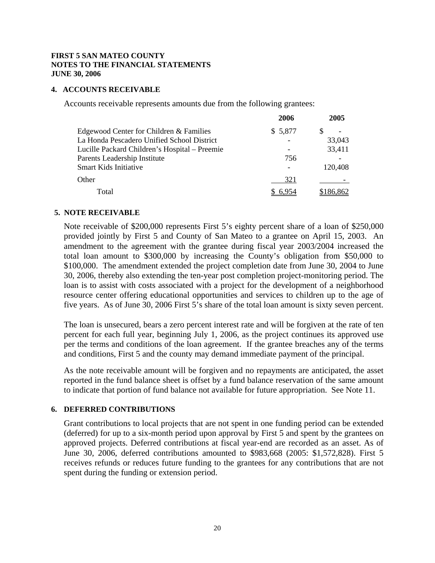#### **4. ACCOUNTS RECEIVABLE**

Accounts receivable represents amounts due from the following grantees:

|                                               | 2006    | 2005             |
|-----------------------------------------------|---------|------------------|
| Edgewood Center for Children & Families       | \$5,877 |                  |
| La Honda Pescadero Unified School District    |         | 33,043           |
| Lucille Packard Children's Hospital – Preemie |         | 33,411           |
| Parents Leadership Institute                  | 756     |                  |
| Smart Kids Initiative                         |         | 120,408          |
| Other                                         | 321     |                  |
| Total                                         |         | <u>\$186,862</u> |

#### **5. NOTE RECEIVABLE**

Note receivable of \$200,000 represents First 5's eighty percent share of a loan of \$250,000 provided jointly by First 5 and County of San Mateo to a grantee on April 15, 2003. An amendment to the agreement with the grantee during fiscal year 2003/2004 increased the total loan amount to \$300,000 by increasing the County's obligation from \$50,000 to \$100,000. The amendment extended the project completion date from June 30, 2004 to June 30, 2006, thereby also extending the ten-year post completion project-monitoring period. The loan is to assist with costs associated with a project for the development of a neighborhood resource center offering educational opportunities and services to children up to the age of five years. As of June 30, 2006 First 5's share of the total loan amount is sixty seven percent.

The loan is unsecured, bears a zero percent interest rate and will be forgiven at the rate of ten percent for each full year, beginning July 1, 2006, as the project continues its approved use per the terms and conditions of the loan agreement. If the grantee breaches any of the terms and conditions, First 5 and the county may demand immediate payment of the principal.

As the note receivable amount will be forgiven and no repayments are anticipated, the asset reported in the fund balance sheet is offset by a fund balance reservation of the same amount to indicate that portion of fund balance not available for future appropriation. See Note 11.

#### **6. DEFERRED CONTRIBUTIONS**

Grant contributions to local projects that are not spent in one funding period can be extended (deferred) for up to a six-month period upon approval by First 5 and spent by the grantees on approved projects. Deferred contributions at fiscal year-end are recorded as an asset. As of June 30, 2006, deferred contributions amounted to \$983,668 (2005: \$1,572,828). First 5 receives refunds or reduces future funding to the grantees for any contributions that are not spent during the funding or extension period.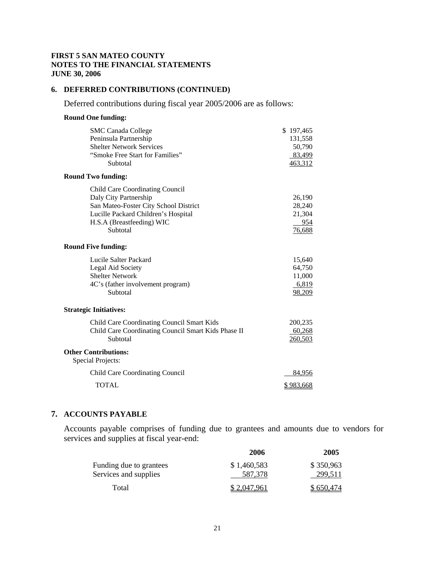### **6. DEFERRED CONTRIBUTIONS (CONTINUED)**

Deferred contributions during fiscal year 2005/2006 are as follows:

# **Round One funding:**

| <b>SMC Canada College</b>                           | \$197,465        |
|-----------------------------------------------------|------------------|
| Peninsula Partnership                               | 131,558          |
| <b>Shelter Network Services</b>                     | 50,790           |
| "Smoke Free Start for Families"                     | 83,499           |
| Subtotal                                            | 463,312          |
| <b>Round Two funding:</b>                           |                  |
| <b>Child Care Coordinating Council</b>              |                  |
| Daly City Partnership                               | 26,190           |
| San Mateo-Foster City School District               | 28,240           |
| Lucille Packard Children's Hospital                 | 21,304           |
| H.S.A (Breastfeeding) WIC                           | 954              |
| Subtotal                                            | 76,688           |
| <b>Round Five funding:</b>                          |                  |
| Lucile Salter Packard                               | 15,640           |
| Legal Aid Society                                   | 64,750           |
| <b>Shelter Network</b>                              | 11,000           |
| 4C's (father involvement program)                   | 6,819            |
| Subtotal                                            | 98,209           |
| <b>Strategic Initiatives:</b>                       |                  |
| Child Care Coordinating Council Smart Kids          | 200,235          |
| Child Care Coordinating Council Smart Kids Phase II | 60,268           |
| Subtotal                                            | 260,503          |
| <b>Other Contributions:</b><br>Special Projects:    |                  |
| <b>Child Care Coordinating Council</b>              | 84,956           |
| <b>TOTAL</b>                                        | <u>\$983,668</u> |

#### **7. ACCOUNTS PAYABLE**

Accounts payable comprises of funding due to grantees and amounts due to vendors for services and supplies at fiscal year-end:

|                         | 2006        | 2005      |
|-------------------------|-------------|-----------|
| Funding due to grantees | \$1,460,583 | \$350,963 |
| Services and supplies   | 587.378     | 299,511   |
| Total                   | \$2,047,961 | \$650,474 |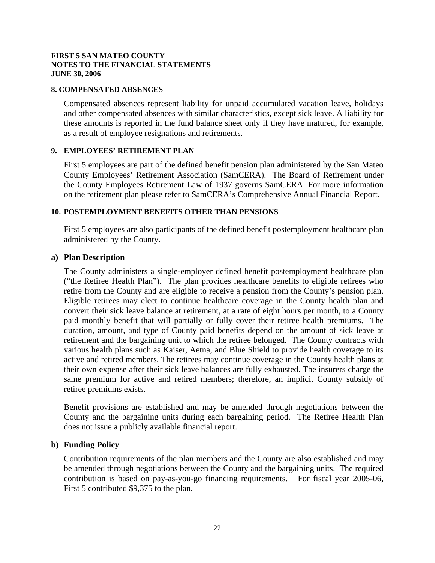#### **8. COMPENSATED ABSENCES**

Compensated absences represent liability for unpaid accumulated vacation leave, holidays and other compensated absences with similar characteristics, except sick leave. A liability for these amounts is reported in the fund balance sheet only if they have matured, for example, as a result of employee resignations and retirements.

#### **9. EMPLOYEES' RETIREMENT PLAN**

First 5 employees are part of the defined benefit pension plan administered by the San Mateo County Employees' Retirement Association (SamCERA). The Board of Retirement under the County Employees Retirement Law of 1937 governs SamCERA. For more information on the retirement plan please refer to SamCERA's Comprehensive Annual Financial Report.

#### **10. POSTEMPLOYMENT BENEFITS OTHER THAN PENSIONS**

First 5 employees are also participants of the defined benefit postemployment healthcare plan administered by the County.

#### **a) Plan Description**

The County administers a single-employer defined benefit postemployment healthcare plan ("the Retiree Health Plan"). The plan provides healthcare benefits to eligible retirees who retire from the County and are eligible to receive a pension from the County's pension plan. Eligible retirees may elect to continue healthcare coverage in the County health plan and convert their sick leave balance at retirement, at a rate of eight hours per month, to a County paid monthly benefit that will partially or fully cover their retiree health premiums. The duration, amount, and type of County paid benefits depend on the amount of sick leave at retirement and the bargaining unit to which the retiree belonged. The County contracts with various health plans such as Kaiser, Aetna, and Blue Shield to provide health coverage to its active and retired members. The retirees may continue coverage in the County health plans at their own expense after their sick leave balances are fully exhausted. The insurers charge the same premium for active and retired members; therefore, an implicit County subsidy of retiree premiums exists.

Benefit provisions are established and may be amended through negotiations between the County and the bargaining units during each bargaining period. The Retiree Health Plan does not issue a publicly available financial report.

#### **b) Funding Policy**

Contribution requirements of the plan members and the County are also established and may be amended through negotiations between the County and the bargaining units. The required contribution is based on pay-as-you-go financing requirements. For fiscal year 2005-06, First 5 contributed \$9,375 to the plan.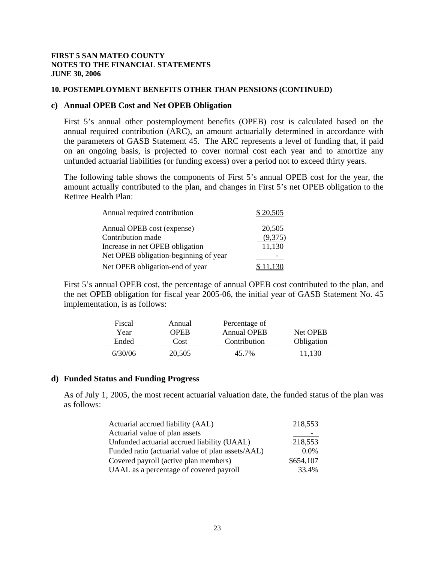#### **10. POSTEMPLOYMENT BENEFITS OTHER THAN PENSIONS (CONTINUED)**

#### **c) Annual OPEB Cost and Net OPEB Obligation**

First 5's annual other postemployment benefits (OPEB) cost is calculated based on the annual required contribution (ARC), an amount actuarially determined in accordance with the parameters of GASB Statement 45. The ARC represents a level of funding that, if paid on an ongoing basis, is projected to cover normal cost each year and to amortize any unfunded actuarial liabilities (or funding excess) over a period not to exceed thirty years.

The following table shows the components of First 5's annual OPEB cost for the year, the amount actually contributed to the plan, and changes in First 5's net OPEB obligation to the Retiree Health Plan:

| Annual required contribution          | \$20,505 |
|---------------------------------------|----------|
| Annual OPEB cost (expense)            | 20,505   |
| Contribution made                     | (9,375)  |
| Increase in net OPEB obligation       | 11,130   |
| Net OPEB obligation-beginning of year |          |
| Net OPEB obligation-end of year       |          |

First 5's annual OPEB cost, the percentage of annual OPEB cost contributed to the plan, and the net OPEB obligation for fiscal year 2005-06, the initial year of GASB Statement No. 45 implementation, is as follows:

| Fiscal  | Annual | Percentage of      |            |
|---------|--------|--------------------|------------|
| Year    | OPER   | <b>Annual OPEB</b> | Net OPEB   |
| Ended   | Cost   | Contribution       | Obligation |
| 6/30/06 | 20,505 | 45.7%              | 11.130     |

#### **d) Funded Status and Funding Progress**

As of July 1, 2005, the most recent actuarial valuation date, the funded status of the plan was as follows:

| Actuarial accrued liability (AAL)                 | 218,553   |
|---------------------------------------------------|-----------|
| Actuarial value of plan assets                    |           |
| Unfunded actuarial accrued liability (UAAL)       | 218,553   |
| Funded ratio (actuarial value of plan assets/AAL) | $0.0\%$   |
| Covered payroll (active plan members)             | \$654,107 |
| UAAL as a percentage of covered payroll           | 33.4%     |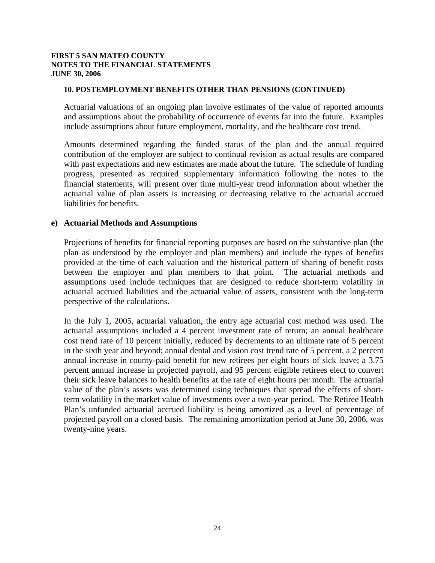### **10. POSTEMPLOYMENT BENEFITS OTHER THAN PENSIONS (CONTINUED)**

Actuarial valuations of an ongoing plan involve estimates of the value of reported amounts and assumptions about the probability of occurrence of events far into the future. Examples include assumptions about future employment, mortality, and the healthcare cost trend.

Amounts determined regarding the funded status of the plan and the annual required contribution of the employer are subject to continual revision as actual results are compared with past expectations and new estimates are made about the future. The schedule of funding progress, presented as required supplementary information following the notes to the financial statements, will present over time multi-year trend information about whether the actuarial value of plan assets is increasing or decreasing relative to the actuarial accrued liabilities for benefits.

#### **e) Actuarial Methods and Assumptions**

Projections of benefits for financial reporting purposes are based on the substantive plan (the plan as understood by the employer and plan members) and include the types of benefits provided at the time of each valuation and the historical pattern of sharing of benefit costs between the employer and plan members to that point. The actuarial methods and assumptions used include techniques that are designed to reduce short-term volatility in actuarial accrued liabilities and the actuarial value of assets, consistent with the long-term perspective of the calculations.

In the July 1, 2005, actuarial valuation, the entry age actuarial cost method was used. The actuarial assumptions included a 4 percent investment rate of return; an annual healthcare cost trend rate of 10 percent initially, reduced by decrements to an ultimate rate of 5 percent in the sixth year and beyond; annual dental and vision cost trend rate of 5 percent, a 2 percent annual increase in county-paid benefit for new retirees per eight hours of sick leave; a 3.75 percent annual increase in projected payroll, and 95 percent eligible retirees elect to convert their sick leave balances to health benefits at the rate of eight hours per month. The actuarial value of the plan's assets was determined using techniques that spread the effects of shortterm volatility in the market value of investments over a two-year period. The Retiree Health Plan's unfunded actuarial accrued liability is being amortized as a level of percentage of projected payroll on a closed basis. The remaining amortization period at June 30, 2006, was twenty-nine years.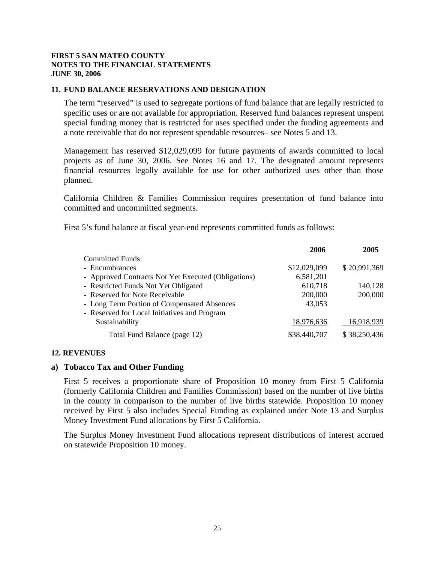#### **11. FUND BALANCE RESERVATIONS AND DESIGNATION**

The term "reserved" is used to segregate portions of fund balance that are legally restricted to specific uses or are not available for appropriation. Reserved fund balances represent unspent special funding money that is restricted for uses specified under the funding agreements and a note receivable that do not represent spendable resources– see Notes 5 and 13.

Management has reserved \$12,029,099 for future payments of awards committed to local projects as of June 30, 2006. See Notes 16 and 17. The designated amount represents financial resources legally available for use for other authorized uses other than those planned.

California Children & Families Commission requires presentation of fund balance into committed and uncommitted segments.

First 5's fund balance at fiscal year-end represents committed funds as follows:

|                                                     | 2006         | 2005         |
|-----------------------------------------------------|--------------|--------------|
| <b>Committed Funds:</b>                             |              |              |
| - Encumbrances                                      | \$12,029,099 | \$20,991,369 |
| - Approved Contracts Not Yet Executed (Obligations) | 6,581,201    |              |
| - Restricted Funds Not Yet Obligated                | 610,718      | 140,128      |
| - Reserved for Note Receivable                      | 200,000      | 200,000      |
| - Long Term Portion of Compensated Absences         | 43,053       |              |
| - Reserved for Local Initiatives and Program        |              |              |
| Sustainability                                      | 18,976,636   | 16,918,939   |
| Total Fund Balance (page 12)                        | \$38,440,707 | \$38,250,436 |

#### **12. REVENUES**

#### **a) Tobacco Tax and Other Funding**

First 5 receives a proportionate share of Proposition 10 money from First 5 California (formerly California Children and Families Commission) based on the number of live births in the county in comparison to the number of live births statewide. Proposition 10 money received by First 5 also includes Special Funding as explained under Note 13 and Surplus Money Investment Fund allocations by First 5 California.

The Surplus Money Investment Fund allocations represent distributions of interest accrued on statewide Proposition 10 money.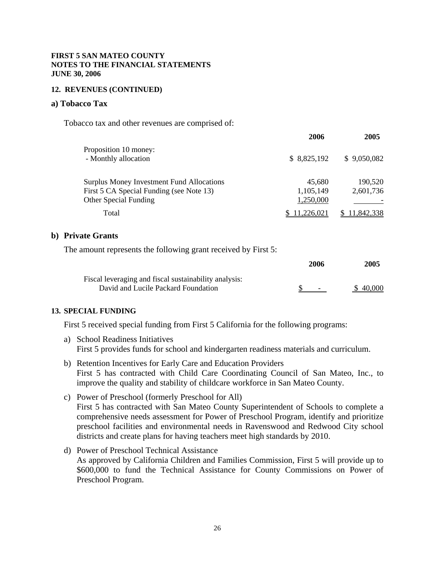#### **12. REVENUES (CONTINUED)**

#### **a) Tobacco Tax**

Tobacco tax and other revenues are comprised of:

|                                                  | 2006        | 2005        |
|--------------------------------------------------|-------------|-------------|
| Proposition 10 money:<br>- Monthly allocation    | \$8,825,192 | \$9,050,082 |
| <b>Surplus Money Investment Fund Allocations</b> | 45,680      | 190,520     |
| First 5 CA Special Funding (see Note 13)         | 1,105,149   | 2,601,736   |
| Other Special Funding                            | 1,250,000   |             |
| Total                                            | 11.226.021  | 11.842.338  |

# **b**) Private Grants

The amount represents the following grant received by First 5:

|                                                       | 2006 | 2005     |
|-------------------------------------------------------|------|----------|
| Fiscal leveraging and fiscal sustainability analysis: |      |          |
| David and Lucile Packard Foundation                   | $ -$ | \$40,000 |

#### **13. SPECIAL FUNDING**

First 5 received special funding from First 5 California for the following programs:

- a) School Readiness Initiatives First 5 provides funds for school and kindergarten readiness materials and curriculum.
- b) Retention Incentives for Early Care and Education Providers First 5 has contracted with Child Care Coordinating Council of San Mateo, Inc., to improve the quality and stability of childcare workforce in San Mateo County.
- c) Power of Preschool (formerly Preschool for All) First 5 has contracted with San Mateo County Superintendent of Schools to complete a comprehensive needs assessment for Power of Preschool Program, identify and prioritize preschool facilities and environmental needs in Ravenswood and Redwood City school districts and create plans for having teachers meet high standards by 2010.
- d) Power of Preschool Technical Assistance As approved by California Children and Families Commission, First 5 will provide up to \$600,000 to fund the Technical Assistance for County Commissions on Power of Preschool Program.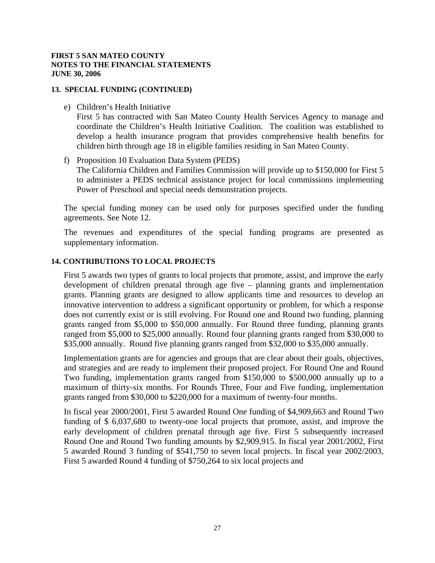#### **13. SPECIAL FUNDING (CONTINUED)**

e) Children's Health Initiative

First 5 has contracted with San Mateo County Health Services Agency to manage and coordinate the Children's Health Initiative Coalition. The coalition was established to develop a health insurance program that provides comprehensive health benefits for children birth through age 18 in eligible families residing in San Mateo County.

f) Proposition 10 Evaluation Data System (PEDS) The California Children and Families Commission will provide up to \$150,000 for First 5 to administer a PEDS technical assistance project for local commissions implementing Power of Preschool and special needs demonstration projects.

The special funding money can be used only for purposes specified under the funding agreements. See Note 12.

The revenues and expenditures of the special funding programs are presented as supplementary information.

#### **14. CONTRIBUTIONS TO LOCAL PROJECTS**

First 5 awards two types of grants to local projects that promote, assist, and improve the early development of children prenatal through age five – planning grants and implementation grants. Planning grants are designed to allow applicants time and resources to develop an innovative intervention to address a significant opportunity or problem, for which a response does not currently exist or is still evolving. For Round one and Round two funding, planning grants ranged from \$5,000 to \$50,000 annually. For Round three funding, planning grants ranged from \$5,000 to \$25,000 annually. Round four planning grants ranged from \$30,000 to \$35,000 annually. Round five planning grants ranged from \$32,000 to \$35,000 annually.

Implementation grants are for agencies and groups that are clear about their goals, objectives, and strategies and are ready to implement their proposed project. For Round One and Round Two funding, implementation grants ranged from \$150,000 to \$500,000 annually up to a maximum of thirty-six months. For Rounds Three, Four and Five funding, implementation grants ranged from \$30,000 to \$220,000 for a maximum of twenty-four months.

In fiscal year 2000/2001, First 5 awarded Round One funding of \$4,909,663 and Round Two funding of \$ 6,037,680 to twenty-one local projects that promote, assist, and improve the early development of children prenatal through age five. First 5 subsequently increased Round One and Round Two funding amounts by \$2,909,915. In fiscal year 2001/2002, First 5 awarded Round 3 funding of \$541,750 to seven local projects. In fiscal year 2002/2003, First 5 awarded Round 4 funding of \$750,264 to six local projects and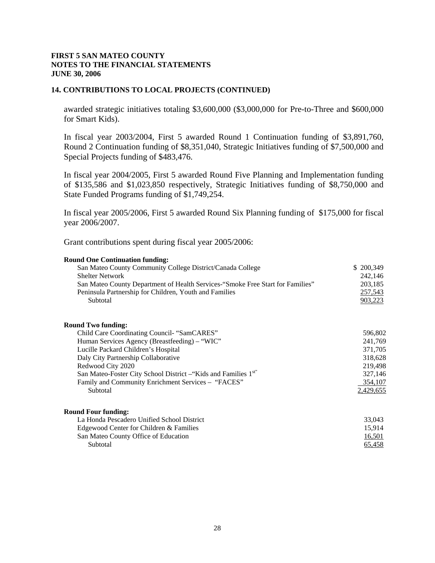#### **14. CONTRIBUTIONS TO LOCAL PROJECTS (CONTINUED)**

awarded strategic initiatives totaling \$3,600,000 (\$3,000,000 for Pre-to-Three and \$600,000 for Smart Kids).

In fiscal year 2003/2004, First 5 awarded Round 1 Continuation funding of \$3,891,760, Round 2 Continuation funding of \$8,351,040, Strategic Initiatives funding of \$7,500,000 and Special Projects funding of \$483,476.

In fiscal year 2004/2005, First 5 awarded Round Five Planning and Implementation funding of \$135,586 and \$1,023,850 respectively, Strategic Initiatives funding of \$8,750,000 and State Funded Programs funding of \$1,749,254.

In fiscal year 2005/2006, First 5 awarded Round Six Planning funding of \$175,000 for fiscal year 2006/2007.

Grant contributions spent during fiscal year 2005/2006:

| <b>Round One Continuation funding:</b>                                         |               |
|--------------------------------------------------------------------------------|---------------|
| San Mateo County Community College District/Canada College                     | \$200,349     |
| <b>Shelter Network</b>                                                         | 242,146       |
| San Mateo County Department of Health Services-"Smoke Free Start for Families" | 203,185       |
| Peninsula Partnership for Children, Youth and Families                         | 257,543       |
| Subtotal                                                                       | 903,223       |
| <b>Round Two funding:</b>                                                      |               |
| Child Care Coordinating Council- "SamCARES"                                    | 596,802       |
| Human Services Agency (Breastfeeding) – "WIC"                                  | 241,769       |
| Lucille Packard Children's Hospital                                            | 371,705       |
| Daly City Partnership Collaborative                                            | 318,628       |
| Redwood City 2020                                                              | 219,498       |
| San Mateo-Foster City School District - "Kids and Families 1st"                | 327,146       |
| Family and Community Enrichment Services - "FACES"                             | 354,107       |
| Subtotal                                                                       | 2,429,655     |
| <b>Round Four funding:</b>                                                     |               |
| La Honda Pescadero Unified School District                                     | 33,043        |
| Edgewood Center for Children & Families                                        | 15,914        |
| San Mateo County Office of Education                                           | <u>16,501</u> |
| Subtotal                                                                       | 65,458        |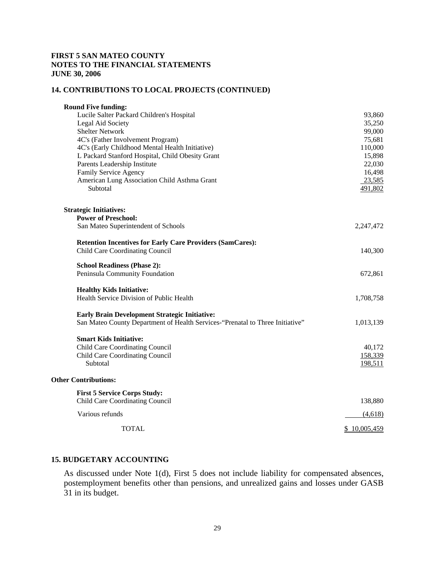#### **14. CONTRIBUTIONS TO LOCAL PROJECTS (CONTINUED)**

| <b>Round Five funding:</b>                                                    |              |
|-------------------------------------------------------------------------------|--------------|
| Lucile Salter Packard Children's Hospital                                     | 93,860       |
| Legal Aid Society                                                             | 35,250       |
| <b>Shelter Network</b>                                                        | 99,000       |
| 4C's (Father Involvement Program)                                             | 75,681       |
| 4C's (Early Childhood Mental Health Initiative)                               | 110,000      |
| L Packard Stanford Hospital, Child Obesity Grant                              | 15,898       |
| Parents Leadership Institute                                                  | 22,030       |
| Family Service Agency                                                         | 16,498       |
| American Lung Association Child Asthma Grant                                  | 23,585       |
| Subtotal                                                                      | 491,802      |
| <b>Strategic Initiatives:</b>                                                 |              |
| <b>Power of Preschool:</b>                                                    |              |
| San Mateo Superintendent of Schools                                           | 2,247,472    |
| <b>Retention Incentives for Early Care Providers (SamCares):</b>              |              |
| Child Care Coordinating Council                                               | 140,300      |
| <b>School Readiness (Phase 2):</b>                                            |              |
| Peninsula Community Foundation                                                | 672,861      |
| <b>Healthy Kids Initiative:</b>                                               |              |
| Health Service Division of Public Health                                      | 1,708,758    |
| Early Brain Development Strategic Initiative:                                 |              |
| San Mateo County Department of Health Services-"Prenatal to Three Initiative" | 1,013,139    |
| <b>Smart Kids Initiative:</b>                                                 |              |
| Child Care Coordinating Council                                               | 40,172       |
| Child Care Coordinating Council                                               | 158,339      |
| Subtotal                                                                      | 198,511      |
| <b>Other Contributions:</b>                                                   |              |
| <b>First 5 Service Corps Study:</b>                                           |              |
| Child Care Coordinating Council                                               | 138,880      |
| Various refunds                                                               | (4,618)      |
| <b>TOTAL</b>                                                                  | \$10,005,459 |

#### **15. BUDGETARY ACCOUNTING**

As discussed under Note 1(d), First 5 does not include liability for compensated absences, postemployment benefits other than pensions, and unrealized gains and losses under GASB 31 in its budget.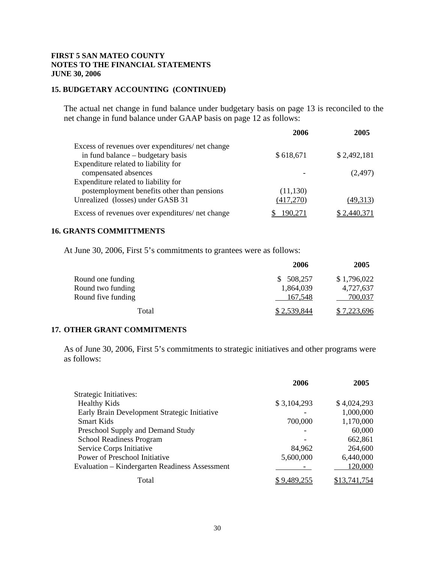#### **15. BUDGETARY ACCOUNTING (CONTINUED)**

The actual net change in fund balance under budgetary basis on page 13 is reconciled to the net change in fund balance under GAAP basis on page 12 as follows:

|                                                  | 2006      | 2005        |
|--------------------------------------------------|-----------|-------------|
| Excess of revenues over expenditures/ net change |           |             |
| in fund balance – budgetary basis                | \$618,671 | \$2,492,181 |
| Expenditure related to liability for             |           |             |
| compensated absences                             |           | (2, 497)    |
| Expenditure related to liability for             |           |             |
| postemployment benefits other than pensions      | (11, 130) |             |
| Unrealized (losses) under GASB 31                | (417,270) | (49,313)    |
| Excess of revenues over expenditures/ net change | 190.271   | \$2.440.371 |

#### **16. GRANTS COMMITTMENTS**

At June 30, 2006, First 5's commitments to grantees were as follows:

|                    | 2006          | 2005        |
|--------------------|---------------|-------------|
| Round one funding  | 508,257<br>S. | \$1,796,022 |
| Round two funding  | 1,864,039     | 4,727,637   |
| Round five funding | 167,548       | 700,037     |
| Total              | \$2,539,844   | \$7,223,696 |

#### **17. OTHER GRANT COMMITMENTS**

As of June 30, 2006, First 5's commitments to strategic initiatives and other programs were as follows:

|                                                       | 2006        | 2005         |
|-------------------------------------------------------|-------------|--------------|
| Strategic Initiatives:                                |             |              |
| <b>Healthy Kids</b>                                   | \$3,104,293 | \$4,024,293  |
| Early Brain Development Strategic Initiative          |             | 1,000,000    |
| <b>Smart Kids</b>                                     | 700,000     | 1,170,000    |
| Preschool Supply and Demand Study                     |             | 60,000       |
| <b>School Readiness Program</b>                       |             | 662,861      |
| Service Corps Initiative                              | 84,962      | 264,600      |
| Power of Preschool Initiative                         | 5,600,000   | 6,440,000    |
| <b>Evaluation – Kindergarten Readiness Assessment</b> |             | 120,000      |
| Total                                                 | \$9,489,255 | \$13,741,754 |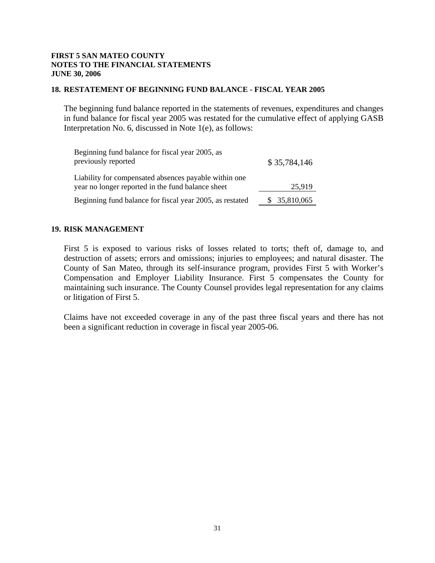#### **18. RESTATEMENT OF BEGINNING FUND BALANCE - FISCAL YEAR 2005**

The beginning fund balance reported in the statements of revenues, expenditures and changes in fund balance for fiscal year 2005 was restated for the cumulative effect of applying GASB Interpretation No. 6, discussed in Note 1(e), as follows:

| Beginning fund balance for fiscal year 2005, as<br>previously reported                                     | \$35,784,146 |
|------------------------------------------------------------------------------------------------------------|--------------|
| Liability for compensated absences payable within one<br>year no longer reported in the fund balance sheet | 25,919       |
| Beginning fund balance for fiscal year 2005, as restated                                                   | \$35,810,065 |

#### **19. RISK MANAGEMENT**

First 5 is exposed to various risks of losses related to torts; theft of, damage to, and destruction of assets; errors and omissions; injuries to employees; and natural disaster. The County of San Mateo, through its self-insurance program, provides First 5 with Worker's Compensation and Employer Liability Insurance. First 5 compensates the County for maintaining such insurance. The County Counsel provides legal representation for any claims or litigation of First 5.

Claims have not exceeded coverage in any of the past three fiscal years and there has not been a significant reduction in coverage in fiscal year 2005-06.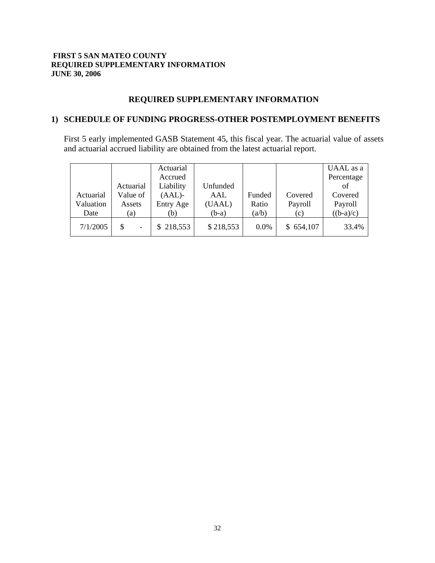#### **FIRST 5 SAN MATEO COUNTY REQUIRED SUPPLEMENTARY INFORMATION JUNE 30, 2006**

# **REQUIRED SUPPLEMENTARY INFORMATION**

# **1) SCHEDULE OF FUNDING PROGRESS-OTHER POSTEMPLOYMENT BENEFITS**

First 5 early implemented GASB Statement 45, this fiscal year. The actuarial value of assets and actuarial accrued liability are obtained from the latest actuarial report.

|           |                          | Actuarial     |           |        |           | UAAL as a   |
|-----------|--------------------------|---------------|-----------|--------|-----------|-------------|
|           |                          | Accrued       |           |        |           | Percentage  |
|           | Actuarial                | Liability     | Unfunded  |        |           | of          |
| Actuarial | Value of                 | $(AAL)$ -     | AAL       | Funded | Covered   | Covered     |
| Valuation | Assets                   | Entry Age     | (UAAL)    | Ratio  | Payroll   | Payroll     |
| Date      | (a)                      | (b)           | $(b-a)$   | (a/b)  | (c)       | $((b-a)/c)$ |
| 7/1/2005  | $\overline{\phantom{0}}$ | 218,553<br>S. | \$218,553 | 0.0%   | \$654,107 | 33.4%       |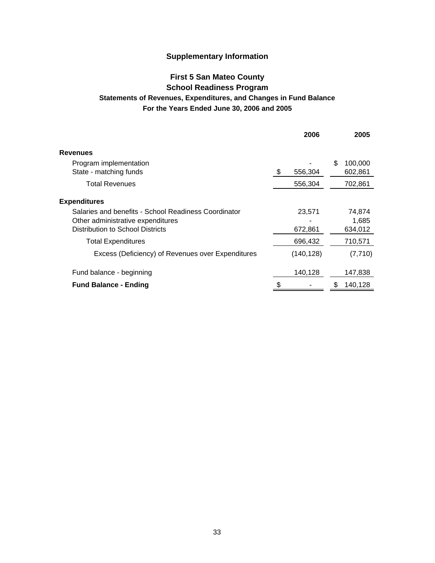# **First 5 San Mateo County School Readiness Program**

# **For the Years Ended June 30, 2006 and 2005 Statements of Revenues, Expenditures, and Changes in Fund Balance**

|                                                                                                                               | 2006              | 2005                       |
|-------------------------------------------------------------------------------------------------------------------------------|-------------------|----------------------------|
| Revenues                                                                                                                      |                   |                            |
| Program implementation<br>State - matching funds                                                                              | \$<br>556,304     | \$<br>100,000<br>602,861   |
| <b>Total Revenues</b>                                                                                                         | 556,304           | 702,861                    |
| <b>Expenditures</b>                                                                                                           |                   |                            |
| Salaries and benefits - School Readiness Coordinator<br>Other administrative expenditures<br>Distribution to School Districts | 23,571<br>672,861 | 74,874<br>1,685<br>634,012 |
| <b>Total Expenditures</b>                                                                                                     | 696,432           | 710,571                    |
| Excess (Deficiency) of Revenues over Expenditures                                                                             | (140, 128)        | (7, 710)                   |
| Fund balance - beginning                                                                                                      | 140,128           | 147,838                    |
| <b>Fund Balance - Ending</b>                                                                                                  | \$                | 140,128                    |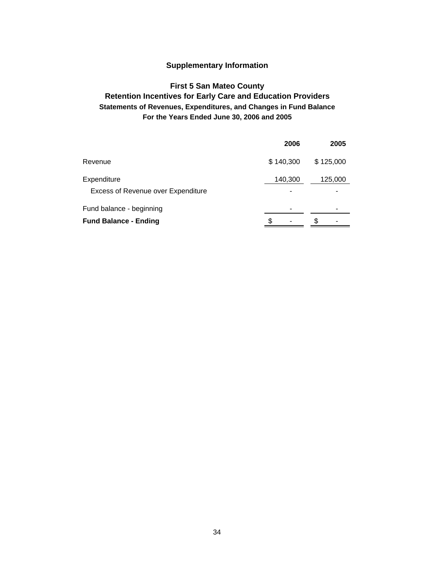# **For the Years Ended June 30, 2006 and 2005 First 5 San Mateo County Retention Incentives for Early Care and Education Providers Statements of Revenues, Expenditures, and Changes in Fund Balance**

|                                                   | 2006      | 2005      |
|---------------------------------------------------|-----------|-----------|
| Revenue                                           | \$140,300 | \$125,000 |
| Expenditure<br>Excess of Revenue over Expenditure | 140,300   | 125,000   |
| Fund balance - beginning                          |           |           |
| <b>Fund Balance - Ending</b>                      | \$        | S         |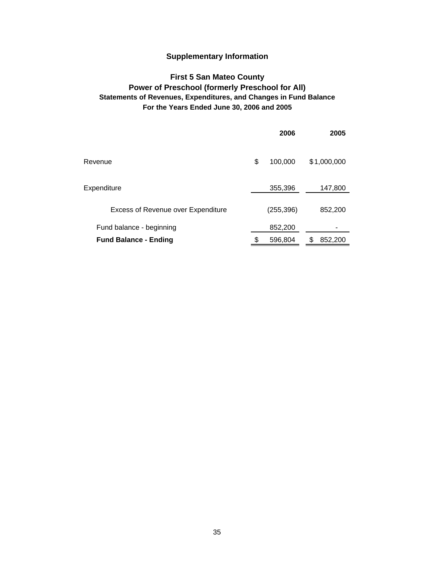# **For the Years Ended June 30, 2006 and 2005 First 5 San Mateo County Power of Preschool (formerly Preschool for All) Statements of Revenues, Expenditures, and Changes in Fund Balance**

|                                           | 2006          |   | 2005        |
|-------------------------------------------|---------------|---|-------------|
| Revenue                                   | \$<br>100,000 |   | \$1,000,000 |
| Expenditure                               | 355,396       |   | 147,800     |
| <b>Excess of Revenue over Expenditure</b> | (255, 396)    |   | 852,200     |
| Fund balance - beginning                  | 852,200       |   |             |
| <b>Fund Balance - Ending</b>              | \$<br>596,804 | S | 852,200     |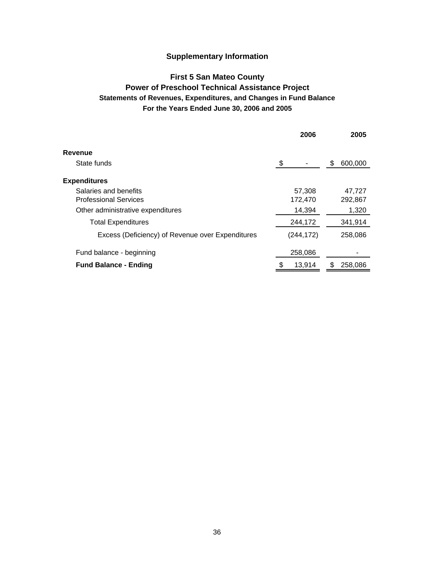# **For the Years Ended June 30, 2006 and 2005 First 5 San Mateo County Power of Preschool Technical Assistance Project Statements of Revenues, Expenditures, and Changes in Fund Balance**

|                                                  | 2006         | 2005          |
|--------------------------------------------------|--------------|---------------|
| Revenue                                          |              |               |
| State funds                                      | \$           | \$<br>600,000 |
| <b>Expenditures</b>                              |              |               |
| Salaries and benefits                            | 57,308       | 47,727        |
| <b>Professional Services</b>                     | 172,470      | 292,867       |
| Other administrative expenditures                | 14,394       | 1,320         |
| <b>Total Expenditures</b>                        | 244,172      | 341.914       |
| Excess (Deficiency) of Revenue over Expenditures | (244,172)    | 258,086       |
| Fund balance - beginning                         | 258,086      |               |
| <b>Fund Balance - Ending</b>                     | \$<br>13,914 | 258,086       |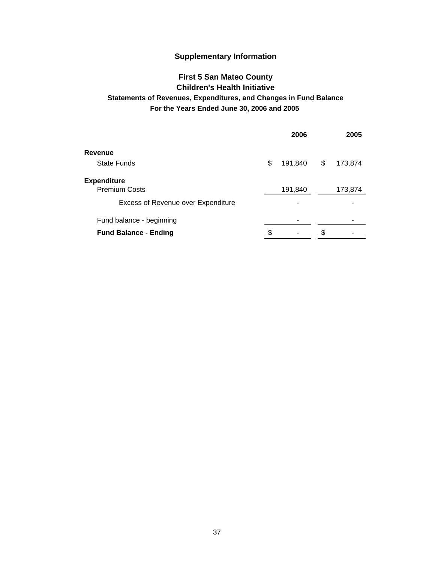# **First 5 San Mateo County Children's Health Initiative**

# **For the Years Ended June 30, 2006 and 2005 Statements of Revenues, Expenditures, and Changes in Fund Balance**

|                                           | 2006 |         |    | 2005    |
|-------------------------------------------|------|---------|----|---------|
| <b>Revenue</b>                            |      |         |    |         |
| State Funds                               | \$   | 191,840 | \$ | 173,874 |
| <b>Expenditure</b>                        |      |         |    |         |
| <b>Premium Costs</b>                      |      | 191,840 |    | 173,874 |
| <b>Excess of Revenue over Expenditure</b> |      | -       |    |         |
| Fund balance - beginning                  |      |         |    |         |
| <b>Fund Balance - Ending</b>              |      |         |    |         |